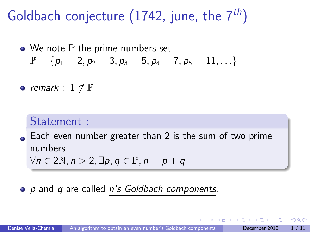Goldbach conjecture (1742, june, the  $7^{th}$ )

 $\bullet$  We note  $\mathbb P$  the prime numbers set.  $\mathbb{P} = \{p_1 = 2, p_2 = 3, p_3 = 5, p_4 = 7, p_5 = 11, \ldots\}$ 

• remark :  $1 \notin \mathbb{P}$ 

## Statement :

Each even number greater than 2 is the sum of two prime numbers.

<span id="page-0-0"></span> $\forall n \in 2\mathbb{N}, n > 2, \exists p, q \in \mathbb{P}, n = p + q$ 

### <span id="page-0-1"></span>• p and q are called n's Goldbach components.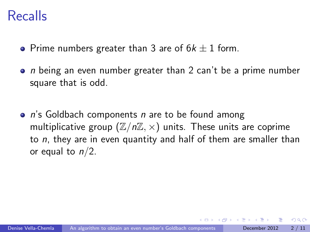## Recalls

- Prime numbers greater than 3 are of  $6k \pm 1$  form.
- $\bullet$  n being an even number greater than 2 can't be a prime number square that is odd.
- $\bullet$  n's Goldbach components n are to be found among multiplicative group  $(\mathbb{Z}/n\mathbb{Z}, \times)$  units. These units are coprime to  $n$ , they are in even quantity and half of them are smaller than or equal to  $n/2$ .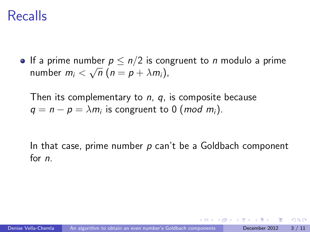## Recalls

If a prime number  $p \leq n/2$  is congruent to *n* modulo a prime number  $m_i < \sqrt{n}$   $(n = p + \lambda m_i)$ ,

Then its complementary to  $n$ ,  $q$ , is composite because  $q = n - p = \lambda m_i$  is congruent to 0 (*mod m<sub>i</sub>*).

In that case, prime number  $p$  can't be a Goldbach component for n.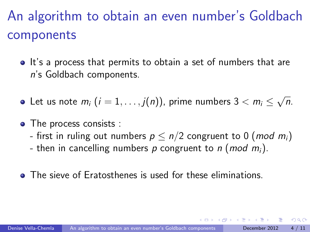# An algorithm to obtain an even number's Goldbach components

- It's a process that permits to obtain a set of numbers that are n's Goldbach components.
- Let us note  $m_i$   $(i=1,\ldots,j(n))$ , prime numbers  $3 < m_i \leq$ √  $\overline{n}$ .
- The process consists :
	- first in ruling out numbers  $p \leq n/2$  congruent to 0 (*mod m<sub>i</sub>*)
	- then in cancelling numbers p congruent to n (mod  $m_i$ ).
- **•** The sieve of Eratosthenes is used for these eliminations.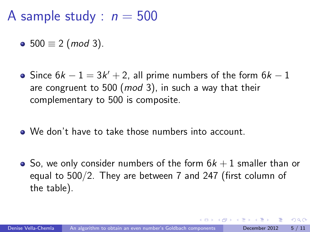A sample study :  $n = 500$ 

- 500  $\equiv$  2 (mod 3).
- Since  $6k 1 = 3k' + 2$ , all prime numbers of the form  $6k 1$ are congruent to 500 (mod 3), in such a way that their complementary to 500 is composite.
- We don't have to take those numbers into account.
- So, we only consider numbers of the form  $6k+1$  smaller than or equal to 500/2. They are between 7 and 247 (first column of the table).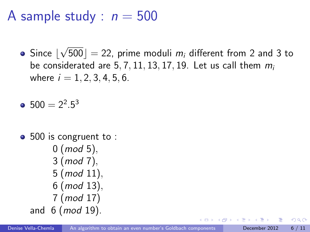A sample study :  $n = 500$ 

Since  $\lfloor$ √ 500]  $=$  22, prime moduli  $m_i$  different from 2 and 3 to be considerated are 5, 7, 11, 13, 17, 19. Let us call them  $m_i$ where  $i = 1, 2, 3, 4, 5, 6$ .

 $500 = 2^2.5^3$ 

• 500 is congruent to :  $0 \ (mod \ 5),$ 3 (mod 7), 5 (mod 11), 6 (mod 13), 7 (mod 17) and  $6 \ (mod 19)$ .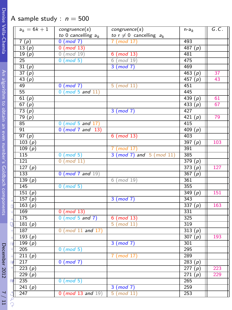#### A sample study :  $n = 500$

|                                                             |               | $a_k = 6k + 1$      | congruence(s)            | congruence(s)                  | $n-a_k$   | G.C.       |
|-------------------------------------------------------------|---------------|---------------------|--------------------------|--------------------------------|-----------|------------|
|                                                             |               |                     | to 0 cancelling $a_k$    | to $r \neq 0$ cancelling $a_k$ |           |            |
| Vella-Chemla                                                |               | 7(p)                | $0 \pmod{7}$             | $7 \pmod{17}$                  | 493       |            |
|                                                             |               | 13(p)               | $0 \pmod{13}$            |                                | 487(p)    |            |
|                                                             |               | 19(p)               | $0 \pmod{19}$            | $6 \pmod{13}$                  | 481       |            |
|                                                             |               | 25                  | $0 \pmod{5}$             | $6 \pmod{19}$                  | 475       |            |
|                                                             |               | 31(p)               |                          | 3 (mod 7)                      | 469       |            |
|                                                             |               | 37(p)               |                          |                                | 463 $(p)$ | 37         |
|                                                             |               | 43(p)               |                          |                                | 457 $(p)$ | 43         |
|                                                             |               | 49                  | $0 \pmod{7}$             | $5 \pmod{11}$                  | 451       |            |
|                                                             |               | 55                  | $0 \pmod{5}$ and $11$    |                                | 445       |            |
|                                                             |               | 61(p)               |                          |                                | 439 $(p)$ | 61         |
|                                                             |               | 67(p)               |                          |                                | 433(p)    | 67         |
|                                                             |               | 73(p)               |                          | $3 \pmod{7}$                   | 427       |            |
|                                                             |               | 79(p)               |                          |                                | 421(p)    | 79         |
|                                                             |               | 85                  | $0 \pmod{5}$ and $17$ )  |                                | 415       |            |
| An algorithm to obtain an even number's Goldbach components |               | 91                  | $0 \pmod{7}$ and $13$    |                                | 409 $(p)$ |            |
|                                                             |               | 97(p)               |                          | $6 \pmod{13}$                  | 403       |            |
|                                                             |               | 103(p)              |                          |                                | 397(p)    | 103        |
|                                                             |               | $\overline{109(p)}$ |                          | $7 \pmod{17}$                  | 391       |            |
|                                                             |               | 115                 | $0 \pmod{5}$             | $3 (mod 7)$ and $5 (mod 11)$   | 385       |            |
|                                                             |               | 121                 | $0 \pmod{11}$            |                                | 379(p)    |            |
|                                                             |               | 127 $(p)$           |                          |                                | 373(p)    | 127        |
|                                                             |               | 133                 | $0 \pmod{7}$ and $19$    |                                | 367 (p)   |            |
|                                                             |               | 139(p)              |                          | $6 \pmod{19}$                  | 361       |            |
|                                                             |               | 145                 | $0 \pmod{5}$             |                                | 355       |            |
|                                                             |               | 151(p)              |                          |                                | 349(p)    | 151        |
|                                                             |               | 157 $(p)$           |                          | 3 (mod 7)                      | 343       |            |
|                                                             |               | $\overline{163(p)}$ |                          |                                | 337 $(p)$ | 163        |
|                                                             |               | 169                 | $0 \pmod{13}$            |                                | 331       |            |
|                                                             |               | 175                 | $0 \pmod{5}$ and $7$ )   | $6 \pmod{13}$                  | 325       |            |
|                                                             |               | 181 $(p)$           |                          | $5 \pmod{11}$                  | 319       |            |
|                                                             |               | 187                 | $0 \pmod{11}$ and $17$   |                                | 313(p)    |            |
|                                                             |               | 193(p)              |                          |                                | 307 $(p)$ | 193        |
|                                                             |               | 199 $(p)$           |                          | 3 (mod 7)                      | 301       |            |
|                                                             |               | 205                 | $0 \pmod{5}$             |                                | 295       |            |
|                                                             |               | 211(p)              |                          | 7 (mod 17)                     | 289       |            |
|                                                             |               | 217                 | $0 \pmod{7}$             |                                | 283 $(p)$ |            |
|                                                             |               |                     |                          |                                |           |            |
| December 2012                                               |               | 223(p)              |                          |                                | 277(p)    | 223<br>229 |
|                                                             |               | 229 $(p)$           |                          |                                | 271(p)    |            |
|                                                             | d)            | 235                 | $0 \pmod{5}$             |                                | 265       |            |
|                                                             |               | 241(p)              |                          | $3 \pmod{7}$                   | 259       |            |
|                                                             |               | 247                 | $0 \pmod{13}$ and $19$ ) | $5 \pmod{11}$                  | 253       |            |
| $\frac{1}{11}$                                              | $\mathcal{Q}$ |                     |                          |                                |           |            |
|                                                             |               |                     |                          |                                |           |            |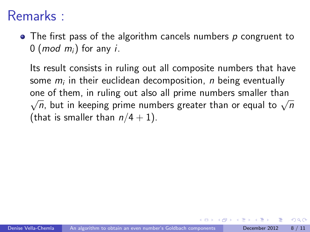# Remarks :

 $\bullet$  The first pass of the algorithm cancels numbers p congruent to 0 (*mod m<sub>i</sub>*) for any *i*.

Its result consists in ruling out all composite numbers that have some  $m_i$  in their euclidean decomposition,  $\emph{n}$  being eventually one of them, in ruling out also all prime numbers smaller than ne or them, in runng out also an prime numbers smaller than<br> $\overline{n}$ , but in keeping prime numbers greater than or equal to  $\sqrt{n}$ (that is smaller than  $n/4 + 1$ ).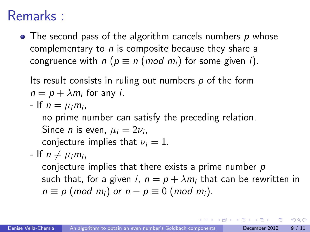# Remarks :

 $\bullet$  The second pass of the algorithm cancels numbers p whose complementary to  $n$  is composite because they share a congruence with  $n (p \equiv n (mod m_i)$  for some given i).

Its result consists in ruling out numbers  $p$  of the form  $n = p + \lambda m_i$  for any *i*.

- If  $n = \mu_i m_i$ ,

no prime number can satisfy the preceding relation. Since *n* is even,  $\mu_i = 2\nu_i$ ,

conjecture implies that  $\nu_i = 1$ .

- If  $n \neq \mu_i m_i$ ,

conjecture implies that there exists a prime number  $p$ such that, for a given i,  $n = p + \lambda m_i$  that can be rewritten in  $n \equiv p \pmod{m_i}$  or  $n - p \equiv 0 \pmod{m_i}$ .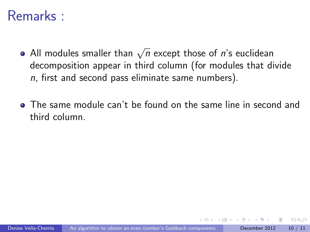## Remarks :

- All modules smaller than  $\sqrt{n}$  except those of  $\vec{n}$ 's euclidean decomposition appear in third column (for modules that divide  $n$ , first and second pass eliminate same numbers).
- The same module can't be found on the same line in second and third column.

∽≏